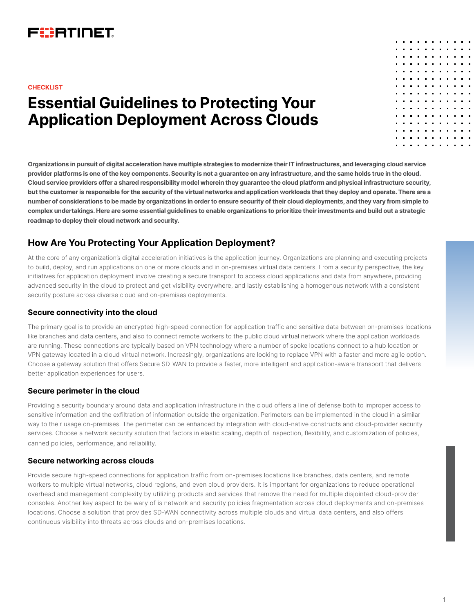## FURTINET

#### **CHECKLIST**

# **Essential Guidelines to Protecting Your Application Deployment Across Clouds**

**Organizations in pursuit of digital acceleration have multiple strategies to modernize their IT infrastructures, and leveraging cloud service provider platforms is one of the key components. Security is not a guarantee on any infrastructure, and the same holds true in the cloud. Cloud service providers offer a shared responsibility model wherein they guarantee the cloud platform and physical infrastructure security, but the customer is responsible for the security of the virtual networks and application workloads that they deploy and operate. There are a number of considerations to be made by organizations in order to ensure security of their cloud deployments, and they vary from simple to complex undertakings. Here are some essential guidelines to enable organizations to prioritize their investments and build out a strategic roadmap to deploy their cloud network and security.**

## **How Are You Protecting Your Application Deployment?**

At the core of any organization's digital acceleration initiatives is the application journey. Organizations are planning and executing projects to build, deploy, and run applications on one or more clouds and in on-premises virtual data centers. From a security perspective, the key initiatives for application deployment involve creating a secure transport to access cloud applications and data from anywhere, providing advanced security in the cloud to protect and get visibility everywhere, and lastly establishing a homogenous network with a consistent security posture across diverse cloud and on-premises deployments.

#### **Secure connectivity into the cloud**

The primary goal is to provide an encrypted high-speed connection for application traffic and sensitive data between on-premises locations like branches and data centers, and also to connect remote workers to the public cloud virtual network where the application workloads are running. These connections are typically based on VPN technology where a number of spoke locations connect to a hub location or VPN gateway located in a cloud virtual network. Increasingly, organizations are looking to replace VPN with a faster and more agile option. Choose a gateway solution that offers Secure SD-WAN to provide a faster, more intelligent and application-aware transport that delivers better application experiences for users.

#### **Secure perimeter in the cloud**

Providing a security boundary around data and application infrastructure in the cloud offers a line of defense both to improper access to sensitive information and the exfiltration of information outside the organization. Perimeters can be implemented in the cloud in a similar way to their usage on-premises. The perimeter can be enhanced by integration with cloud-native constructs and cloud-provider security services. Choose a network security solution that factors in elastic scaling, depth of inspection, flexibility, and customization of policies, canned policies, performance, and reliability.

#### **Secure networking across clouds**

Provide secure high-speed connections for application traffic from on-premises locations like branches, data centers, and remote workers to multiple virtual networks, cloud regions, and even cloud providers. It is important for organizations to reduce operational overhead and management complexity by utilizing products and services that remove the need for multiple disjointed cloud-provider consoles. Another key aspect to be wary of is network and security policies fragmentation across cloud deployments and on-premises locations. Choose a solution that provides SD-WAN connectivity across multiple clouds and virtual data centers, and also offers continuous visibility into threats across clouds and on-premises locations.